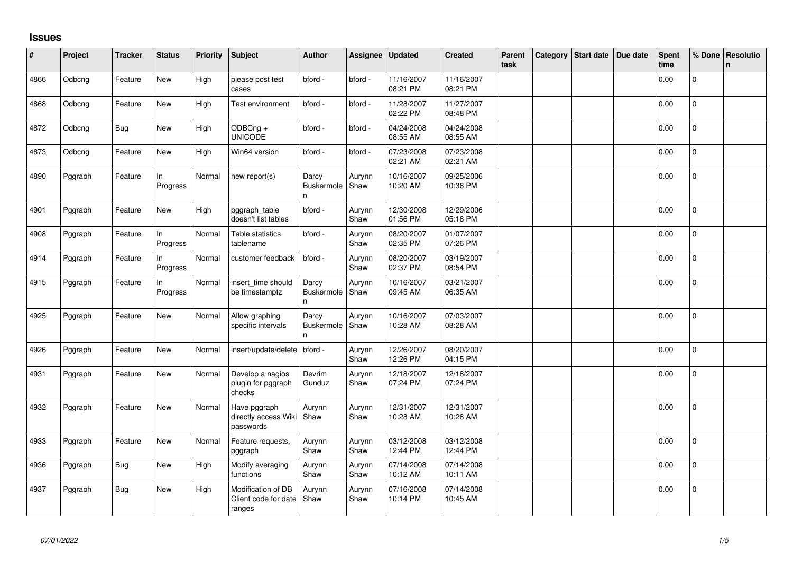## **Issues**

| #    | Project | <b>Tracker</b> | <b>Status</b>   | Priority | <b>Subject</b>                                       | <b>Author</b>                    | Assignee       | Updated                | <b>Created</b>         | Parent<br>task | Category Start date | Due date | <b>Spent</b><br>time | % Done         | Resolutio<br>$\mathsf{n}$ |
|------|---------|----------------|-----------------|----------|------------------------------------------------------|----------------------------------|----------------|------------------------|------------------------|----------------|---------------------|----------|----------------------|----------------|---------------------------|
| 4866 | Odbcng  | Feature        | New             | High     | please post test<br>cases                            | bford -                          | bford -        | 11/16/2007<br>08:21 PM | 11/16/2007<br>08:21 PM |                |                     |          | 0.00                 | $\overline{0}$ |                           |
| 4868 | Odbcng  | Feature        | New             | High     | Test environment                                     | bford -                          | bford -        | 11/28/2007<br>02:22 PM | 11/27/2007<br>08:48 PM |                |                     |          | 0.00                 | $\mathbf{0}$   |                           |
| 4872 | Odbcng  | <b>Bug</b>     | New             | High     | ODBCng +<br><b>UNICODE</b>                           | bford -                          | bford -        | 04/24/2008<br>08:55 AM | 04/24/2008<br>08:55 AM |                |                     |          | 0.00                 | $\mathbf 0$    |                           |
| 4873 | Odbcng  | Feature        | New             | High     | Win64 version                                        | bford -                          | bford -        | 07/23/2008<br>02:21 AM | 07/23/2008<br>02:21 AM |                |                     |          | 0.00                 | $\mathbf 0$    |                           |
| 4890 | Pggraph | Feature        | In<br>Progress  | Normal   | new report(s)                                        | Darcy<br><b>Buskermole</b><br>n  | Aurynn<br>Shaw | 10/16/2007<br>10:20 AM | 09/25/2006<br>10:36 PM |                |                     |          | 0.00                 | 0              |                           |
| 4901 | Pggraph | Feature        | New             | High     | pggraph_table<br>doesn't list tables                 | bford -                          | Aurynn<br>Shaw | 12/30/2008<br>01:56 PM | 12/29/2006<br>05:18 PM |                |                     |          | 0.00                 | $\Omega$       |                           |
| 4908 | Pggraph | Feature        | In<br>Progress  | Normal   | Table statistics<br>tablename                        | bford -                          | Aurynn<br>Shaw | 08/20/2007<br>02:35 PM | 01/07/2007<br>07:26 PM |                |                     |          | 0.00                 | $\mathbf 0$    |                           |
| 4914 | Pggraph | Feature        | In.<br>Progress | Normal   | customer feedback                                    | bford -                          | Aurynn<br>Shaw | 08/20/2007<br>02:37 PM | 03/19/2007<br>08:54 PM |                |                     |          | 0.00                 | $\mathbf 0$    |                           |
| 4915 | Pggraph | Feature        | In<br>Progress  | Normal   | insert_time should<br>be timestamptz                 | Darcy<br><b>Buskermole</b><br>n. | Aurynn<br>Shaw | 10/16/2007<br>09:45 AM | 03/21/2007<br>06:35 AM |                |                     |          | 0.00                 | $\mathbf 0$    |                           |
| 4925 | Pggraph | Feature        | New             | Normal   | Allow graphing<br>specific intervals                 | Darcy<br>Buskermole<br>n         | Aurynn<br>Shaw | 10/16/2007<br>10:28 AM | 07/03/2007<br>08:28 AM |                |                     |          | 0.00                 | $\overline{0}$ |                           |
| 4926 | Pggraph | Feature        | New             | Normal   | insert/update/delete                                 | bford -                          | Aurynn<br>Shaw | 12/26/2007<br>12:26 PM | 08/20/2007<br>04:15 PM |                |                     |          | 0.00                 | 0              |                           |
| 4931 | Pggraph | Feature        | New             | Normal   | Develop a nagios<br>plugin for pggraph<br>checks     | Devrim<br>Gunduz                 | Aurynn<br>Shaw | 12/18/2007<br>07:24 PM | 12/18/2007<br>07:24 PM |                |                     |          | 0.00                 | 0              |                           |
| 4932 | Pggraph | Feature        | New             | Normal   | Have pggraph<br>directly access Wiki<br>passwords    | Aurynn<br>Shaw                   | Aurynn<br>Shaw | 12/31/2007<br>10:28 AM | 12/31/2007<br>10:28 AM |                |                     |          | 0.00                 | $\pmb{0}$      |                           |
| 4933 | Pggraph | Feature        | <b>New</b>      | Normal   | Feature requests,<br>pggraph                         | Aurynn<br>Shaw                   | Aurynn<br>Shaw | 03/12/2008<br>12:44 PM | 03/12/2008<br>12:44 PM |                |                     |          | 0.00                 | $\Omega$       |                           |
| 4936 | Pggraph | Bug            | New             | High     | Modify averaging<br>functions                        | Aurynn<br>Shaw                   | Aurynn<br>Shaw | 07/14/2008<br>10:12 AM | 07/14/2008<br>10:11 AM |                |                     |          | 0.00                 | $\Omega$       |                           |
| 4937 | Pggraph | <b>Bug</b>     | New             | High     | Modification of DB<br>Client code for date<br>ranges | Aurynn<br>Shaw                   | Aurynn<br>Shaw | 07/16/2008<br>10:14 PM | 07/14/2008<br>10:45 AM |                |                     |          | 0.00                 | $\overline{0}$ |                           |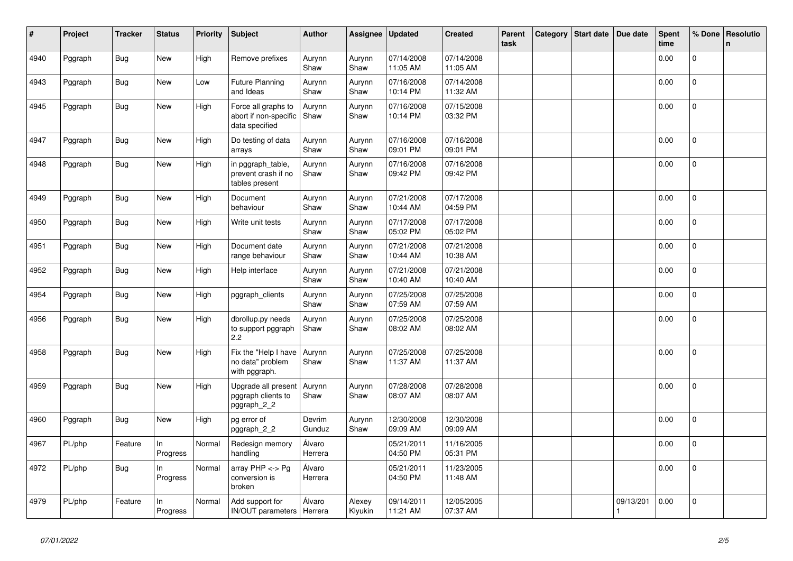| $\#$ | Project | <b>Tracker</b> | <b>Status</b>  | <b>Priority</b> | <b>Subject</b>                                                 | <b>Author</b>     | Assignee          | <b>Updated</b>         | <b>Created</b>         | Parent<br>task | Category | <b>Start date</b> | Due date  | <b>Spent</b><br>time | % Done         | <b>Resolutio</b><br>$\mathbf n$ |
|------|---------|----------------|----------------|-----------------|----------------------------------------------------------------|-------------------|-------------------|------------------------|------------------------|----------------|----------|-------------------|-----------|----------------------|----------------|---------------------------------|
| 4940 | Pggraph | <b>Bug</b>     | New            | High            | Remove prefixes                                                | Aurynn<br>Shaw    | Aurynn<br>Shaw    | 07/14/2008<br>11:05 AM | 07/14/2008<br>11:05 AM |                |          |                   |           | 0.00                 | $\mathbf 0$    |                                 |
| 4943 | Pggraph | Bug            | <b>New</b>     | Low             | <b>Future Planning</b><br>and Ideas                            | Aurynn<br>Shaw    | Aurynn<br>Shaw    | 07/16/2008<br>10:14 PM | 07/14/2008<br>11:32 AM |                |          |                   |           | 0.00                 | $\mathbf 0$    |                                 |
| 4945 | Pggraph | Bug            | New            | High            | Force all graphs to<br>abort if non-specific<br>data specified | Aurynn<br>Shaw    | Aurynn<br>Shaw    | 07/16/2008<br>10:14 PM | 07/15/2008<br>03:32 PM |                |          |                   |           | 0.00                 | $\mathbf{0}$   |                                 |
| 4947 | Pggraph | <b>Bug</b>     | <b>New</b>     | High            | Do testing of data<br>arrays                                   | Aurynn<br>Shaw    | Aurynn<br>Shaw    | 07/16/2008<br>09:01 PM | 07/16/2008<br>09:01 PM |                |          |                   |           | 0.00                 | $\mathbf{0}$   |                                 |
| 4948 | Pggraph | <b>Bug</b>     | New            | High            | in pggraph_table,<br>prevent crash if no<br>tables present     | Aurynn<br>Shaw    | Aurynn<br>Shaw    | 07/16/2008<br>09:42 PM | 07/16/2008<br>09:42 PM |                |          |                   |           | 0.00                 | 0              |                                 |
| 4949 | Pggraph | <b>Bug</b>     | <b>New</b>     | High            | Document<br>behaviour                                          | Aurynn<br>Shaw    | Aurynn<br>Shaw    | 07/21/2008<br>10:44 AM | 07/17/2008<br>04:59 PM |                |          |                   |           | 0.00                 | $\Omega$       |                                 |
| 4950 | Pggraph | Bug            | New            | High            | Write unit tests                                               | Aurynn<br>Shaw    | Aurynn<br>Shaw    | 07/17/2008<br>05:02 PM | 07/17/2008<br>05:02 PM |                |          |                   |           | 0.00                 | $\mathbf 0$    |                                 |
| 4951 | Pggraph | Bug            | New            | High            | Document date<br>range behaviour                               | Aurynn<br>Shaw    | Aurynn<br>Shaw    | 07/21/2008<br>10:44 AM | 07/21/2008<br>10:38 AM |                |          |                   |           | 0.00                 | 0              |                                 |
| 4952 | Pggraph | Bug            | New            | High            | Help interface                                                 | Aurynn<br>Shaw    | Aurynn<br>Shaw    | 07/21/2008<br>10:40 AM | 07/21/2008<br>10:40 AM |                |          |                   |           | 0.00                 | $\mathbf 0$    |                                 |
| 4954 | Pggraph | <b>Bug</b>     | New            | High            | pggraph clients                                                | Aurynn<br>Shaw    | Aurynn<br>Shaw    | 07/25/2008<br>07:59 AM | 07/25/2008<br>07:59 AM |                |          |                   |           | 0.00                 | $\mathbf{0}$   |                                 |
| 4956 | Pggraph | Bug            | <b>New</b>     | High            | dbrollup.py needs<br>to support pggraph<br>2.2                 | Aurynn<br>Shaw    | Aurynn<br>Shaw    | 07/25/2008<br>08:02 AM | 07/25/2008<br>08:02 AM |                |          |                   |           | 0.00                 | $\overline{0}$ |                                 |
| 4958 | Pggraph | Bug            | New            | High            | Fix the "Help I have<br>no data" problem<br>with pggraph.      | Aurynn<br>Shaw    | Aurynn<br>Shaw    | 07/25/2008<br>11:37 AM | 07/25/2008<br>11:37 AM |                |          |                   |           | 0.00                 | $\mathbf 0$    |                                 |
| 4959 | Pggraph | Bug            | New            | High            | Upgrade all present<br>pggraph clients to<br>pggraph_2_2       | Aurynn<br>Shaw    | Aurynn<br>Shaw    | 07/28/2008<br>08:07 AM | 07/28/2008<br>08:07 AM |                |          |                   |           | 0.00                 | $\mathbf{0}$   |                                 |
| 4960 | Pggraph | <b>Bug</b>     | <b>New</b>     | High            | pg error of<br>pggraph_2_2                                     | Devrim<br>Gunduz  | Aurynn<br>Shaw    | 12/30/2008<br>09:09 AM | 12/30/2008<br>09:09 AM |                |          |                   |           | 0.00                 | $\Omega$       |                                 |
| 4967 | PL/php  | Feature        | In<br>Progress | Normal          | Redesign memory<br>handling                                    | Álvaro<br>Herrera |                   | 05/21/2011<br>04:50 PM | 11/16/2005<br>05:31 PM |                |          |                   |           | 0.00                 | $\mathbf 0$    |                                 |
| 4972 | PL/php  | <b>Bug</b>     | In<br>Progress | Normal          | array $PHP \lt\gt Pg$<br>conversion is<br>broken               | Álvaro<br>Herrera |                   | 05/21/2011<br>04:50 PM | 11/23/2005<br>11:48 AM |                |          |                   |           | 0.00                 | $\mathbf{0}$   |                                 |
| 4979 | PL/php  | Feature        | In<br>Progress | Normal          | Add support for<br>IN/OUT parameters   Herrera                 | Álvaro            | Alexey<br>Klyukin | 09/14/2011<br>11:21 AM | 12/05/2005<br>07:37 AM |                |          |                   | 09/13/201 | 0.00                 | 0              |                                 |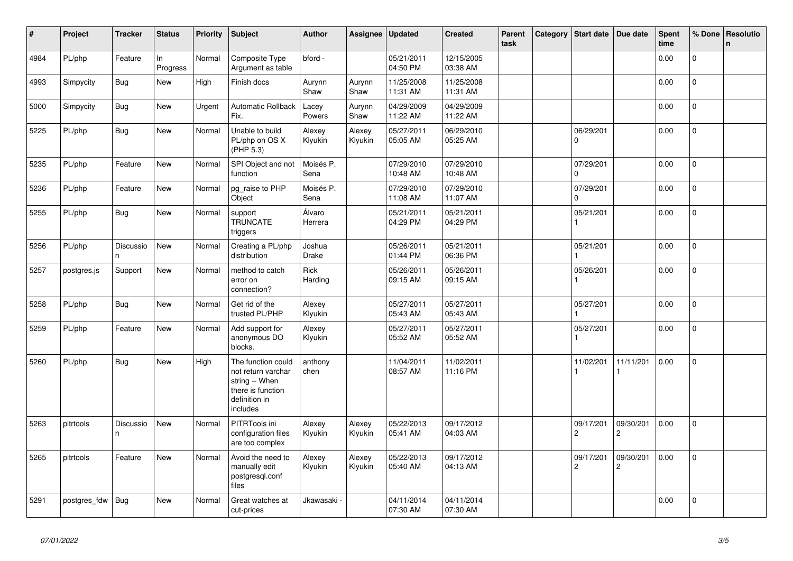| $\vert$ # | Project      | <b>Tracker</b>  | <b>Status</b>  | <b>Priority</b> | <b>Subject</b>                                                                                               | <b>Author</b>          | Assignee          | <b>Updated</b>         | <b>Created</b>         | Parent<br>task | Category | Start date                  | Due date                    | <b>Spent</b><br>time | % Done       | <b>Resolutio</b><br>n |
|-----------|--------------|-----------------|----------------|-----------------|--------------------------------------------------------------------------------------------------------------|------------------------|-------------------|------------------------|------------------------|----------------|----------|-----------------------------|-----------------------------|----------------------|--------------|-----------------------|
| 4984      | PL/php       | Feature         | ln<br>Progress | Normal          | Composite Type<br>Argument as table                                                                          | bford -                |                   | 05/21/2011<br>04:50 PM | 12/15/2005<br>03:38 AM |                |          |                             |                             | 0.00                 | $\Omega$     |                       |
| 4993      | Simpycity    | Bug             | New            | High            | Finish docs                                                                                                  | Aurynn<br>Shaw         | Aurynn<br>Shaw    | 11/25/2008<br>11:31 AM | 11/25/2008<br>11:31 AM |                |          |                             |                             | 0.00                 | $\mathbf 0$  |                       |
| 5000      | Simpycity    | <b>Bug</b>      | New            | Urgent          | <b>Automatic Rollback</b><br>Fix.                                                                            | Lacey<br>Powers        | Aurynn<br>Shaw    | 04/29/2009<br>11:22 AM | 04/29/2009<br>11:22 AM |                |          |                             |                             | 0.00                 | $\mathbf{0}$ |                       |
| 5225      | PL/php       | <b>Bug</b>      | <b>New</b>     | Normal          | Unable to build<br>PL/php on OS X<br>(PHP 5.3)                                                               | Alexey<br>Klyukin      | Alexey<br>Klyukin | 05/27/2011<br>05:05 AM | 06/29/2010<br>05:25 AM |                |          | 06/29/201<br>0              |                             | 0.00                 | $\Omega$     |                       |
| 5235      | PL/php       | Feature         | New            | Normal          | SPI Object and not<br>function                                                                               | Moisés P.<br>Sena      |                   | 07/29/2010<br>10:48 AM | 07/29/2010<br>10:48 AM |                |          | 07/29/201<br>0              |                             | 0.00                 | $\Omega$     |                       |
| 5236      | PL/php       | Feature         | New            | Normal          | pg_raise to PHP<br>Object                                                                                    | Moisés P.<br>Sena      |                   | 07/29/2010<br>11:08 AM | 07/29/2010<br>11:07 AM |                |          | 07/29/201<br>$\Omega$       |                             | 0.00                 | $\mathbf{0}$ |                       |
| 5255      | PL/php       | <b>Bug</b>      | New            | Normal          | support<br><b>TRUNCATE</b><br>triggers                                                                       | Álvaro<br>Herrera      |                   | 05/21/2011<br>04:29 PM | 05/21/2011<br>04:29 PM |                |          | 05/21/201                   |                             | 0.00                 | 0            |                       |
| 5256      | PL/php       | Discussio<br>n. | New            | Normal          | Creating a PL/php<br>distribution                                                                            | Joshua<br><b>Drake</b> |                   | 05/26/2011<br>01:44 PM | 05/21/2011<br>06:36 PM |                |          | 05/21/201                   |                             | 0.00                 | $\mathbf 0$  |                       |
| 5257      | postgres.js  | Support         | New            | Normal          | method to catch<br>error on<br>connection?                                                                   | Rick<br>Harding        |                   | 05/26/2011<br>09:15 AM | 05/26/2011<br>09:15 AM |                |          | 05/26/201                   |                             | 0.00                 | $\Omega$     |                       |
| 5258      | PL/php       | Bug             | New            | Normal          | Get rid of the<br>trusted PL/PHP                                                                             | Alexey<br>Klyukin      |                   | 05/27/2011<br>05:43 AM | 05/27/2011<br>05:43 AM |                |          | 05/27/201                   |                             | 0.00                 | 0            |                       |
| 5259      | PL/php       | Feature         | New            | Normal          | Add support for<br>anonymous DO<br>blocks.                                                                   | Alexey<br>Klyukin      |                   | 05/27/2011<br>05:52 AM | 05/27/2011<br>05:52 AM |                |          | 05/27/201                   |                             | 0.00                 | 0            |                       |
| 5260      | PL/php       | Bug             | New            | High            | The function could<br>not return varchar<br>string -- When<br>there is function<br>definition in<br>includes | anthony<br>chen        |                   | 11/04/2011<br>08:57 AM | 11/02/2011<br>11:16 PM |                |          | 11/02/201                   | 11/11/201                   | 0.00                 | 0            |                       |
| 5263      | pitrtools    | Discussio<br>n. | New            | Normal          | PITRTools ini<br>configuration files<br>are too complex                                                      | Alexey<br>Klyukin      | Alexey<br>Klyukin | 05/22/2013<br>05:41 AM | 09/17/2012<br>04:03 AM |                |          | 09/17/201<br>$\overline{c}$ | 09/30/201<br>$\overline{2}$ | 0.00                 | $\mathbf{0}$ |                       |
| 5265      | pitrtools    | Feature         | New            | Normal          | Avoid the need to<br>manually edit<br>postgresgl.conf<br>files                                               | Alexey<br>Klyukin      | Alexey<br>Klyukin | 05/22/2013<br>05:40 AM | 09/17/2012<br>04:13 AM |                |          | 09/17/201<br>$\overline{c}$ | 09/30/201<br>$\overline{2}$ | 0.00                 | $\mathbf 0$  |                       |
| 5291      | postgres fdw | Bug             | New            | Normal          | Great watches at<br>cut-prices                                                                               | Jkawasaki <sub>`</sub> |                   | 04/11/2014<br>07:30 AM | 04/11/2014<br>07:30 AM |                |          |                             |                             | 0.00                 | $\Omega$     |                       |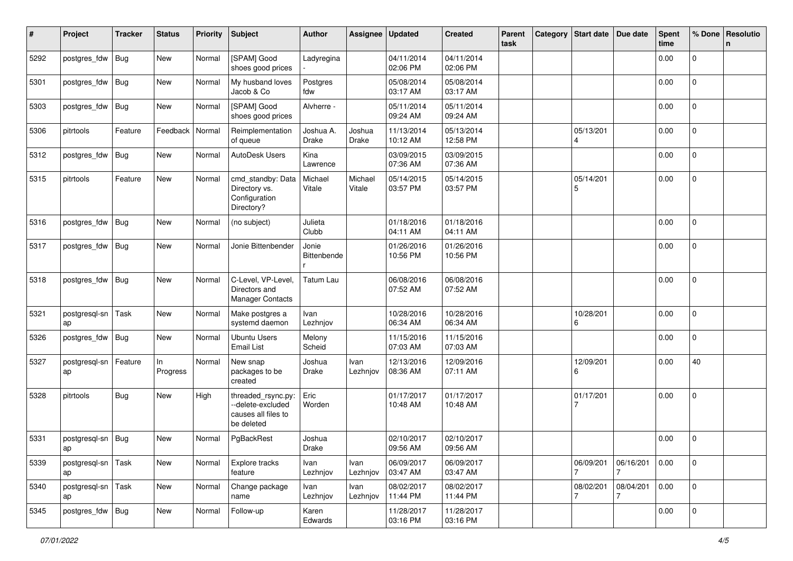| #    | Project             | <b>Tracker</b> | <b>Status</b>  | <b>Priority</b> | <b>Subject</b>                                                               | <b>Author</b>             | Assignee          | <b>Updated</b>         | <b>Created</b>         | Parent<br>task | Category Start date | Due date       | <b>Spent</b><br>time | % Done              | Resolutio<br>n |
|------|---------------------|----------------|----------------|-----------------|------------------------------------------------------------------------------|---------------------------|-------------------|------------------------|------------------------|----------------|---------------------|----------------|----------------------|---------------------|----------------|
| 5292 | postgres_fdw        | Bug            | New            | Normal          | [SPAM] Good<br>shoes good prices                                             | Ladyregina                |                   | 04/11/2014<br>02:06 PM | 04/11/2014<br>02:06 PM |                |                     |                | 0.00                 | 0                   |                |
| 5301 | postgres_fdw        | Bug            | New            | Normal          | My husband loves<br>Jacob & Co                                               | Postgres<br>fdw           |                   | 05/08/2014<br>03:17 AM | 05/08/2014<br>03:17 AM |                |                     |                | 0.00                 | 0                   |                |
| 5303 | postgres_fdw        | Bug            | New            | Normal          | [SPAM] Good<br>shoes good prices                                             | Alvherre -                |                   | 05/11/2014<br>09:24 AM | 05/11/2014<br>09:24 AM |                |                     |                | 0.00                 | 0                   |                |
| 5306 | pitrtools           | Feature        | Feedback       | Normal          | Reimplementation<br>of queue                                                 | Joshua A.<br><b>Drake</b> | Joshua<br>Drake   | 11/13/2014<br>10:12 AM | 05/13/2014<br>12:58 PM |                | 05/13/201<br>4      |                | 0.00                 | 0                   |                |
| 5312 | postgres_fdw        | <b>Bug</b>     | New            | Normal          | AutoDesk Users                                                               | Kina<br>Lawrence          |                   | 03/09/2015<br>07:36 AM | 03/09/2015<br>07:36 AM |                |                     |                | 0.00                 | $\Omega$            |                |
| 5315 | pitrtools           | Feature        | New            | Normal          | cmd_standby: Data<br>Directory vs.<br>Configuration<br>Directory?            | Michael<br>Vitale         | Michael<br>Vitale | 05/14/2015<br>03:57 PM | 05/14/2015<br>03:57 PM |                | 05/14/201<br>5      |                | 0.00                 | $\overline{0}$      |                |
| 5316 | postgres_fdw        | Bug            | <b>New</b>     | Normal          | (no subject)                                                                 | Julieta<br>Clubb          |                   | 01/18/2016<br>04:11 AM | 01/18/2016<br>04:11 AM |                |                     |                | 0.00                 | $\overline{0}$      |                |
| 5317 | postgres_fdw        | Bug            | New            | Normal          | Jonie Bittenbender                                                           | Jonie<br>Bittenbende      |                   | 01/26/2016<br>10:56 PM | 01/26/2016<br>10:56 PM |                |                     |                | 0.00                 | 0                   |                |
| 5318 | postgres_fdw        | Bug            | New            | Normal          | C-Level, VP-Level,<br>Directors and<br><b>Manager Contacts</b>               | <b>Tatum Lau</b>          |                   | 06/08/2016<br>07:52 AM | 06/08/2016<br>07:52 AM |                |                     |                | 0.00                 | $\Omega$            |                |
| 5321 | postgresql-sn<br>ap | Task           | New            | Normal          | Make postgres a<br>systemd daemon                                            | Ivan<br>Lezhnjov          |                   | 10/28/2016<br>06:34 AM | 10/28/2016<br>06:34 AM |                | 10/28/201<br>6      |                | 0.00                 | $\Omega$            |                |
| 5326 | postgres_fdw        | Bug            | New            | Normal          | <b>Ubuntu Users</b><br><b>Email List</b>                                     | Melony<br>Scheid          |                   | 11/15/2016<br>07:03 AM | 11/15/2016<br>07:03 AM |                |                     |                | 0.00                 | 0                   |                |
| 5327 | postgresql-sn<br>ap | Feature        | In<br>Progress | Normal          | New snap<br>packages to be<br>created                                        | Joshua<br>Drake           | Ivan<br>Lezhnjov  | 12/13/2016<br>08:36 AM | 12/09/2016<br>07:11 AM |                | 12/09/201<br>6      |                | 0.00                 | 40                  |                |
| 5328 | pitrtools           | Bug            | New            | High            | threaded_rsync.py:<br>--delete-excluded<br>causes all files to<br>be deleted | Eric<br>Worden            |                   | 01/17/2017<br>10:48 AM | 01/17/2017<br>10:48 AM |                | 01/17/201           |                | 0.00                 | 0                   |                |
| 5331 | postgresql-sn       | Bug            | New            | Normal          | PgBackRest                                                                   | Joshua<br>Drake           |                   | 02/10/2017<br>09:56 AM | 02/10/2017<br>09:56 AM |                |                     |                | 0.00                 | 0                   |                |
| 5339 | postgresql-sn<br>ap | Task           | New            | Normal          | Explore tracks<br>feature                                                    | Ivan<br>Lezhnjov          | Ivan<br>Lezhnjov  | 06/09/2017<br>03:47 AM | 06/09/2017<br>03:47 AM |                | 06/09/201           | 06/16/201<br>7 | 0.00                 | $\mathbf{0}$        |                |
| 5340 | postgresql-sn<br>ap | Task           | New            | Normal          | Change package<br>name                                                       | Ivan<br>Lezhnjov          | Ivan<br>Lezhnjov  | 08/02/2017<br>11:44 PM | 08/02/2017<br>11:44 PM |                | 08/02/201<br>7      | 08/04/201<br>7 | 0.00                 | $\mathsf{O}\xspace$ |                |
| 5345 | postgres_fdw Bug    |                | New            | Normal          | Follow-up                                                                    | Karen<br>Edwards          |                   | 11/28/2017<br>03:16 PM | 11/28/2017<br>03:16 PM |                |                     |                | 0.00                 | 0                   |                |